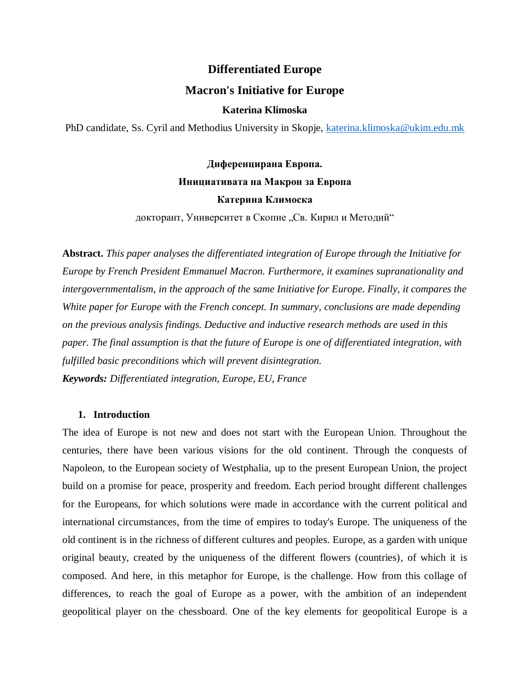# **Differentiated Europe**

## **Macron's Initiative for Europe**

#### **Katerina Klimoska**

PhD candidate, Ss. Cyril and Methodius University in Skopje, [katerina.klimoska@ukim.edu.mk](mailto:katerina.klimoska@ukim.edu.mk)

# **Диференцирана Европа. Инициативата на Макрон за Европа Катерина Климоска**

докторант, Университет в Скопие "Св. Кирил и Методий"

**Abstract.** *This paper analyses the differentiated integration of Europe through the Initiative for Europe by French President Emmanuel Macron. Furthermore, it examines supranationality and intergovernmentalism, in the approach of the same Initiative for Europe. Finally, it compares the White paper for Europe with the French concept. In summary, conclusions are made depending on the previous analysis findings. Deductive and inductive research methods are used in this paper. The final assumption is that the future of Europe is one of differentiated integration, with fulfilled basic preconditions which will prevent disintegration. Keywords: Differentiated integration, Europe, EU, France*

## **1. Introduction**

The idea of Europe is not new and does not start with the European Union. Throughout the centuries, there have been various visions for the old continent. Through the conquests of Napoleon, to the European society of Westphalia, up to the present European Union, the project build on a promise for peace, prosperity and freedom. Each period brought different challenges for the Europeans, for which solutions were made in accordance with the current political and international circumstances, from the time of empires to today's Europe. The uniqueness of the old continent is in the richness of different cultures and peoples. Europe, as a garden with unique original beauty, created by the uniqueness of the different flowers (countries), of which it is composed. And here, in this metaphor for Europe, is the challenge. How from this collage of differences, to reach the goal of Europe as a power, with the ambition of an independent geopolitical player on the chessboard. One of the key elements for geopolitical Europe is a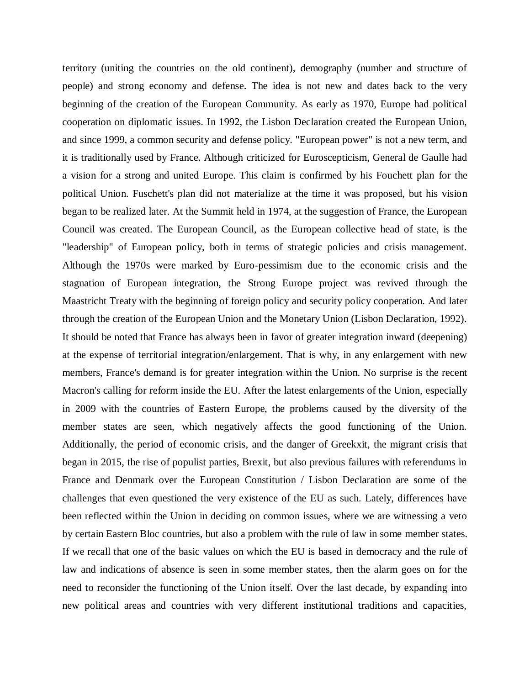territory (uniting the countries on the old continent), demography (number and structure of people) and strong economy and defense. The idea is not new and dates back to the very beginning of the creation of the European Community. As early as 1970, Europe had political cooperation on diplomatic issues. In 1992, the Lisbon Declaration created the European Union, and since 1999, a common security and defense policy. "European power" is not a new term, and it is traditionally used by France. Although criticized for Euroscepticism, General de Gaulle had a vision for a strong and united Europe. This claim is confirmed by his Fouchett plan for the political Union. Fuschett's plan did not materialize at the time it was proposed, but his vision began to be realized later. At the Summit held in 1974, at the suggestion of France, the European Council was created. The European Council, as the European collective head of state, is the "leadership" of European policy, both in terms of strategic policies and crisis management. Although the 1970s were marked by Euro-pessimism due to the economic crisis and the stagnation of European integration, the Strong Europe project was revived through the Maastricht Treaty with the beginning of foreign policy and security policy cooperation. And later through the creation of the European Union and the Monetary Union (Lisbon Declaration, 1992). It should be noted that France has always been in favor of greater integration inward (deepening) at the expense of territorial integration/enlargement. That is why, in any enlargement with new members, France's demand is for greater integration within the Union. No surprise is the recent Macron's calling for reform inside the EU. After the latest enlargements of the Union, especially in 2009 with the countries of Eastern Europe, the problems caused by the diversity of the member states are seen, which negatively affects the good functioning of the Union. Additionally, the period of economic crisis, and the danger of Greekxit, the migrant crisis that began in 2015, the rise of populist parties, Brexit, but also previous failures with referendums in France and Denmark over the European Constitution / Lisbon Declaration are some of the challenges that even questioned the very existence of the EU as such. Lately, differences have been reflected within the Union in deciding on common issues, where we are witnessing a veto by certain Eastern Bloc countries, but also a problem with the rule of law in some member states. If we recall that one of the basic values on which the EU is based in democracy and the rule of law and indications of absence is seen in some member states, then the alarm goes on for the need to reconsider the functioning of the Union itself. Over the last decade, by expanding into new political areas and countries with very different institutional traditions and capacities,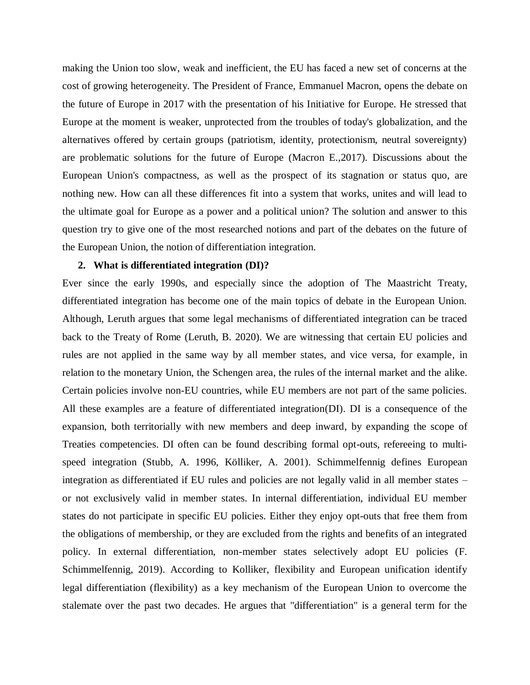making the Union too slow, weak and inefficient, the EU has faced a new set of concerns at the cost of growing heterogeneity. The President of France, Emmanuel Macron, opens the debate on the future of Europe in 2017 with the presentation of his Initiative for Europe. He stressed that Europe at the moment is weaker, unprotected from the troubles of today's globalization, and the alternatives offered by certain groups (patriotism, identity, protectionism, neutral sovereignty) are problematic solutions for the future of Europe (Macron E.,2017). Discussions about the European Union's compactness, as well as the prospect of its stagnation or status quo, are nothing new. How can all these differences fit into a system that works, unites and will lead to the ultimate goal for Europe as a power and a political union? The solution and answer to this question try to give one of the most researched notions and part of the debates on the future of the European Union, the notion of differentiation integration.

#### **2. What is differentiated integration (DI)?**

Ever since the early 1990s, and especially since the adoption of The Maastricht Treaty, differentiated integration has become one of the main topics of debate in the European Union. Although, Leruth argues that some legal mechanisms of differentiated integration can be traced back to the Treaty of Rome (Leruth, B. 2020). We are witnessing that certain EU policies and rules are not applied in the same way by all member states, and vice versa, for example, in relation to the monetary Union, the Schengen area, the rules of the internal market and the alike. Certain policies involve non-EU countries, while EU members are not part of the same policies. All these examples are a feature of differentiated integration(DI). DI is a consequence of the expansion, both territorially with new members and deep inward, by expanding the scope of Treaties competencies. DI often can be found describing formal opt-outs, refereeing to multispeed integration (Stubb, A. 1996, Kölliker, A. 2001). Schimmelfennig defines European integration as differentiated if EU rules and policies are not legally valid in all member states – or not exclusively valid in member states. In internal differentiation, individual EU member states do not participate in specific EU policies. Either they enjoy opt-outs that free them from the obligations of membership, or they are excluded from the rights and benefits of an integrated policy. In external differentiation, non-member states selectively adopt EU policies (F. Schimmelfennig, 2019). According to Kolliker, flexibility and European unification identify legal differentiation (flexibility) as a key mechanism of the European Union to overcome the stalemate over the past two decades. He argues that "differentiation" is a general term for the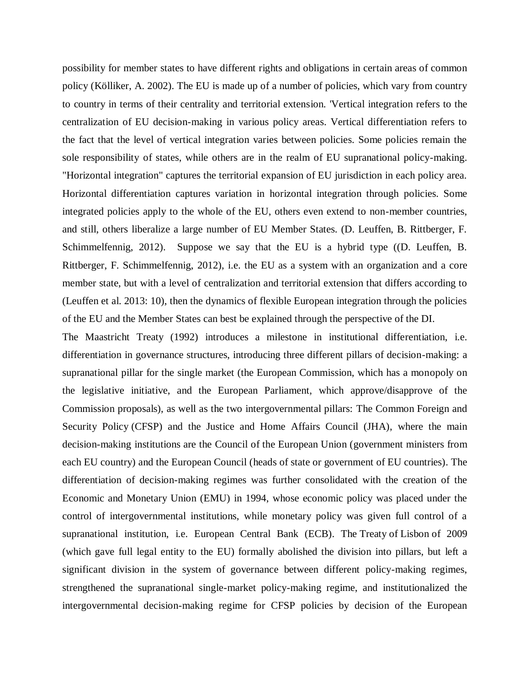possibility for member states to have different rights and obligations in certain areas of common policy (Kölliker, A. 2002). The EU is made up of a number of policies, which vary from country to country in terms of their centrality and territorial extension. 'Vertical integration refers to the centralization of EU decision-making in various policy areas. Vertical differentiation refers to the fact that the level of vertical integration varies between policies. Some policies remain the sole responsibility of states, while others are in the realm of EU supranational policy-making. "Horizontal integration" captures the territorial expansion of EU jurisdiction in each policy area. Horizontal differentiation captures variation in horizontal integration through policies. Some integrated policies apply to the whole of the EU, others even extend to non-member countries, and still, others liberalize a large number of EU Member States. (D. Leuffen, B. Rittberger, F. Schimmelfennig, 2012). Suppose we say that the EU is a hybrid type ((D. Leuffen, B. Rittberger, F. Schimmelfennig, 2012), i.e. the EU as a system with an organization and a core member state, but with a level of centralization and territorial extension that differs according to (Leuffen et al. 2013: 10), then the dynamics of flexible European integration through the policies of the EU and the Member States can best be explained through the perspective of the DI.

The Maastricht Treaty (1992) introduces a milestone in institutional differentiation, i.e. differentiation in governance structures, introducing three different pillars of decision-making: a supranational pillar for the single market (the European Commission, which has a monopoly on the legislative initiative, and the European Parliament, which approve/disapprove of the Commission proposals), as well as the two intergovernmental pillars: The Common Foreign and Security Policy (CFSP) and the Justice and Home Affairs Council (JHA), where the main decision-making institutions are the Council of the European Union (government ministers from each EU country) and the European Council (heads of state or government of EU countries). The differentiation of decision-making regimes was further consolidated with the creation of the Economic and Monetary Union (EMU) in 1994, whose economic policy was placed under the control of intergovernmental institutions, while monetary policy was given full control of a supranational institution, i.e. European Central Bank (ECB). The Treaty of Lisbon of 2009 (which gave full legal entity to the EU) formally abolished the division into pillars, but left a significant division in the system of governance between different policy-making regimes, strengthened the supranational single-market policy-making regime, and institutionalized the intergovernmental decision-making regime for CFSP policies by decision of the European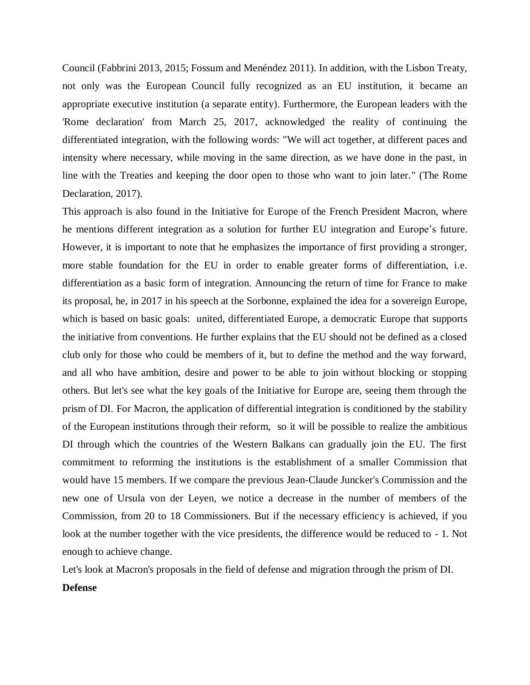Council (Fabbrini 2013, 2015; Fossum and Menéndez 2011). In addition, with the Lisbon Treaty, not only was the European Council fully recognized as an EU institution, it became an appropriate executive institution (a separate entity). Furthermore, the European leaders with the 'Rome declaration' from March 25, 2017, acknowledged the reality of continuing the differentiated integration, with the following words: "We will act together, at different paces and intensity where necessary, while moving in the same direction, as we have done in the past, in line with the Treaties and keeping the door open to those who want to join later." (The Rome Declaration, 2017).

This approach is also found in the Initiative for Europe of the French President Macron, where he mentions different integration as a solution for further EU integration and Europe's future. However, it is important to note that he emphasizes the importance of first providing a stronger, more stable foundation for the EU in order to enable greater forms of differentiation, i.e. differentiation as a basic form of integration. Announcing the return of time for France to make its proposal, he, in 2017 in his speech at the Sorbonne, explained the idea for a sovereign Europe, which is based on basic goals: united, differentiated Europe, a democratic Europe that supports the initiative from conventions. He further explains that the EU should not be defined as a closed club only for those who could be members of it, but to define the method and the way forward, and all who have ambition, desire and power to be able to join without blocking or stopping others. But let's see what the key goals of the Initiative for Europe are, seeing them through the prism of DI. For Macron, the application of differential integration is conditioned by the stability of the European institutions through their reform, so it will be possible to realize the ambitious DI through which the countries of the Western Balkans can gradually join the EU. The first commitment to reforming the institutions is the establishment of a smaller Commission that would have 15 members. If we compare the previous Jean-Claude Juncker's Commission and the new one of Ursula von der Leyen, we notice a decrease in the number of members of the Commission, from 20 to 18 Commissioners. But if the necessary efficiency is achieved, if you look at the number together with the vice presidents, the difference would be reduced to - 1. Not enough to achieve change.

Let's look at Macron's proposals in the field of defense and migration through the prism of DI.

## **Defense**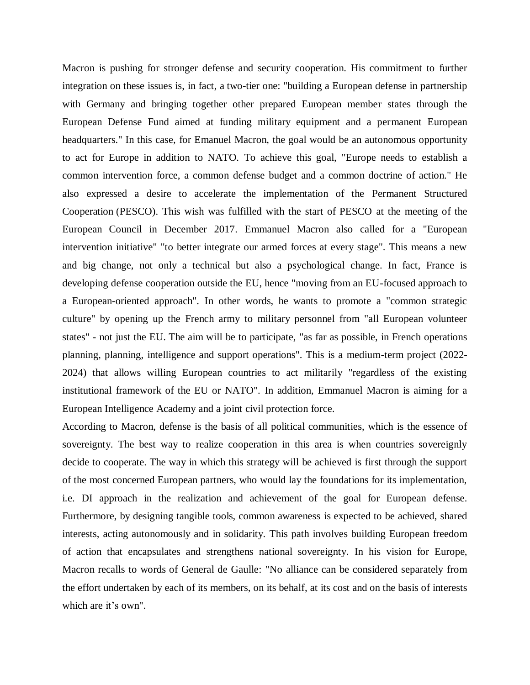Macron is pushing for stronger defense and security cooperation. His commitment to further integration on these issues is, in fact, a two-tier one: "building a European defense in partnership with Germany and bringing together other prepared European member states through the European Defense Fund aimed at funding military equipment and a permanent European headquarters." In this case, for Emanuel Macron, the goal would be an autonomous opportunity to act for Europe in addition to NATO. To achieve this goal, "Europe needs to establish a common intervention force, a common defense budget and a common doctrine of action." He also expressed a desire to accelerate the implementation of the Permanent Structured Cooperation (PESCO). This wish was fulfilled with the start of PESCO at the meeting of the European Council in December 2017. Emmanuel Macron also called for a "European intervention initiative" "to better integrate our armed forces at every stage". This means a new and big change, not only a technical but also a psychological change. In fact, France is developing defense cooperation outside the EU, hence "moving from an EU-focused approach to a European-oriented approach". In other words, he wants to promote a "common strategic culture" by opening up the French army to military personnel from "all European volunteer states" - not just the EU. The aim will be to participate, "as far as possible, in French operations planning, planning, intelligence and support operations". This is a medium-term project (2022- 2024) that allows willing European countries to act militarily "regardless of the existing institutional framework of the EU or NATO". In addition, Emmanuel Macron is aiming for a European Intelligence Academy and a joint civil protection force.

According to Macron, defense is the basis of all political communities, which is the essence of sovereignty. The best way to realize cooperation in this area is when countries sovereignly decide to cooperate. The way in which this strategy will be achieved is first through the support of the most concerned European partners, who would lay the foundations for its implementation, i.e. DI approach in the realization and achievement of the goal for European defense. Furthermore, by designing tangible tools, common awareness is expected to be achieved, shared interests, acting autonomously and in solidarity. This path involves building European freedom of action that encapsulates and strengthens national sovereignty. In his vision for Europe, Macron recalls to words of General de Gaulle: "No alliance can be considered separately from the effort undertaken by each of its members, on its behalf, at its cost and on the basis of interests which are it's own".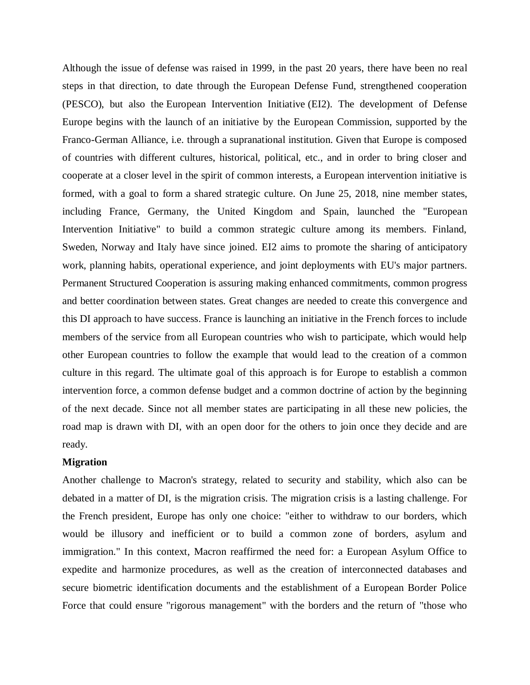Although the issue of defense was raised in 1999, in the past 20 years, there have been no real steps in that direction, to date through the European Defense Fund, strengthened cooperation (PESCO), but also the European Intervention Initiative (EI2). The development of Defense Europe begins with the launch of an initiative by the European Commission, supported by the Franco-German Alliance, i.e. through a supranational institution. Given that Europe is composed of countries with different cultures, historical, political, etc., and in order to bring closer and cooperate at a closer level in the spirit of common interests, a European intervention initiative is formed, with a goal to form a shared strategic culture. On June 25, 2018, nine member states, including France, Germany, the United Kingdom and Spain, launched the "European Intervention Initiative" to build a common strategic culture among its members. Finland, Sweden, Norway and Italy have since joined. EI2 aims to promote the sharing of anticipatory work, planning habits, operational experience, and joint deployments with EU's major partners. Permanent Structured Cooperation is assuring making enhanced commitments, common progress and better coordination between states. Great changes are needed to create this convergence and this DI approach to have success. France is launching an initiative in the French forces to include members of the service from all European countries who wish to participate, which would help other European countries to follow the example that would lead to the creation of a common culture in this regard. The ultimate goal of this approach is for Europe to establish a common intervention force, a common defense budget and a common doctrine of action by the beginning of the next decade. Since not all member states are participating in all these new policies, the road map is drawn with DI, with an open door for the others to join once they decide and are ready.

## **Migration**

Another challenge to Macron's strategy, related to security and stability, which also can be debated in a matter of DI, is the migration crisis. The migration crisis is a lasting challenge. For the French president, Europe has only one choice: "either to withdraw to our borders, which would be illusory and inefficient or to build a common zone of borders, asylum and immigration." In this context, Macron reaffirmed the need for: a European Asylum Office to expedite and harmonize procedures, as well as the creation of interconnected databases and secure biometric identification documents and the establishment of a European Border Police Force that could ensure "rigorous management" with the borders and the return of "those who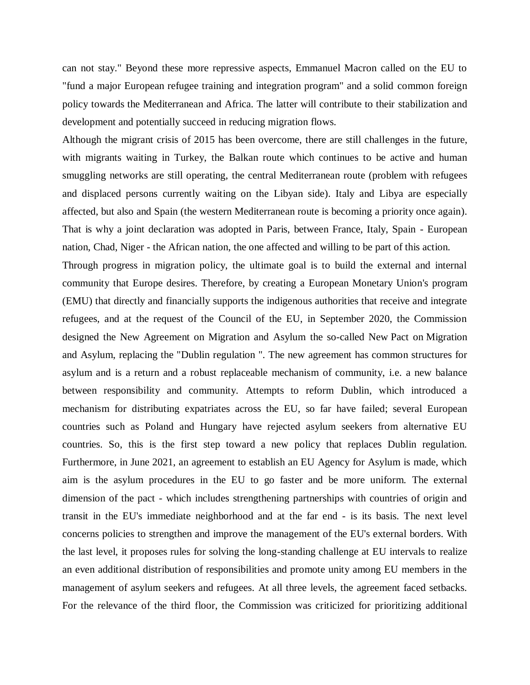can not stay." Beyond these more repressive aspects, Emmanuel Macron called on the EU to "fund a major European refugee training and integration program" and a solid common foreign policy towards the Mediterranean and Africa. The latter will contribute to their stabilization and development and potentially succeed in reducing migration flows.

Although the migrant crisis of 2015 has been overcome, there are still challenges in the future, with migrants waiting in Turkey, the Balkan route which continues to be active and human smuggling networks are still operating, the central Mediterranean route (problem with refugees and displaced persons currently waiting on the Libyan side). Italy and Libya are especially affected, but also and Spain (the western Mediterranean route is becoming a priority once again). That is why a joint declaration was adopted in Paris, between France, Italy, Spain - European nation, Chad, Niger - the African nation, the one affected and willing to be part of this action.

Through progress in migration policy, the ultimate goal is to build the external and internal community that Europe desires. Therefore, by creating a European Monetary Union's program (EMU) that directly and financially supports the indigenous authorities that receive and integrate refugees, and at the request of the Council of the EU, in September 2020, the Commission designed the New Agreement on Migration and Asylum the so-called New Pact on Migration and Asylum, replacing the "Dublin regulation ". The new agreement has common structures for asylum and is a return and a robust replaceable mechanism of community, i.e. a new balance between responsibility and community. Attempts to reform Dublin, which introduced a mechanism for distributing expatriates across the EU, so far have failed; several European countries such as Poland and Hungary have rejected asylum seekers from alternative EU countries. So, this is the first step toward a new policy that replaces Dublin regulation. Furthermore, in June 2021, an agreement to establish an EU Agency for Asylum is made, which aim is the asylum procedures in the EU to go faster and be more uniform. The external dimension of the pact - which includes strengthening partnerships with countries of origin and transit in the EU's immediate neighborhood and at the far end - is its basis. The next level concerns policies to strengthen and improve the management of the EU's external borders. With the last level, it proposes rules for solving the long-standing challenge at EU intervals to realize an even additional distribution of responsibilities and promote unity among EU members in the management of asylum seekers and refugees. At all three levels, the agreement faced setbacks. For the relevance of the third floor, the Commission was criticized for prioritizing additional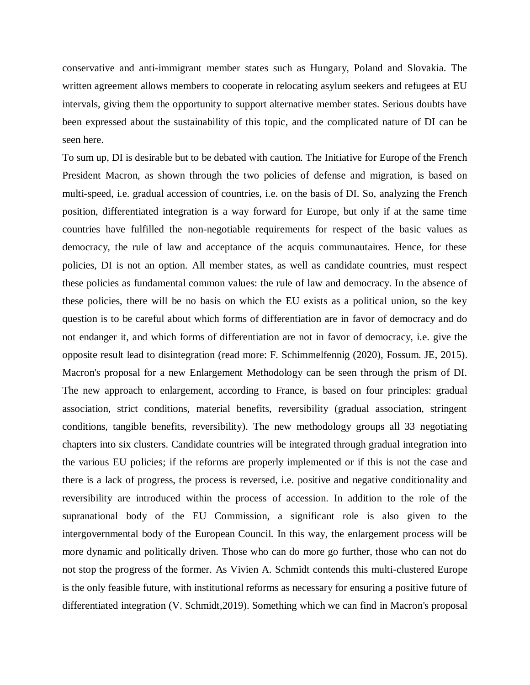conservative and anti-immigrant member states such as Hungary, Poland and Slovakia. The written agreement allows members to cooperate in relocating asylum seekers and refugees at EU intervals, giving them the opportunity to support alternative member states. Serious doubts have been expressed about the sustainability of this topic, and the complicated nature of DI can be seen here.

To sum up, DI is desirable but to be debated with caution. The Initiative for Europe of the French President Macron, as shown through the two policies of defense and migration, is based on multi-speed, i.e. gradual accession of countries, i.e. on the basis of DI. So, analyzing the French position, differentiated integration is a way forward for Europe, but only if at the same time countries have fulfilled the non-negotiable requirements for respect of the basic values as democracy, the rule of law and acceptance of the acquis communautaires. Hence, for these policies, DI is not an option. All member states, as well as candidate countries, must respect these policies as fundamental common values: the rule of law and democracy. In the absence of these policies, there will be no basis on which the EU exists as a political union, so the key question is to be careful about which forms of differentiation are in favor of democracy and do not endanger it, and which forms of differentiation are not in favor of democracy, i.e. give the opposite result lead to disintegration (read more: F. Schimmelfennig (2020), Fossum. JE, 2015). Macron's proposal for a new Enlargement Methodology can be seen through the prism of DI. The new approach to enlargement, according to France, is based on four principles: gradual association, strict conditions, material benefits, reversibility (gradual association, stringent conditions, tangible benefits, reversibility). The new methodology groups all 33 negotiating chapters into six clusters. Candidate countries will be integrated through gradual integration into the various EU policies; if the reforms are properly implemented or if this is not the case and there is a lack of progress, the process is reversed, i.e. positive and negative conditionality and reversibility are introduced within the process of accession. In addition to the role of the supranational body of the EU Commission, a significant role is also given to the intergovernmental body of the European Council. In this way, the enlargement process will be more dynamic and politically driven. Those who can do more go further, those who can not do not stop the progress of the former. As Vivien A. Schmidt contends this multi-clustered Europe is the only feasible future, with institutional reforms as necessary for ensuring a positive future of differentiated integration (V. Schmidt,2019). Something which we can find in Macron's proposal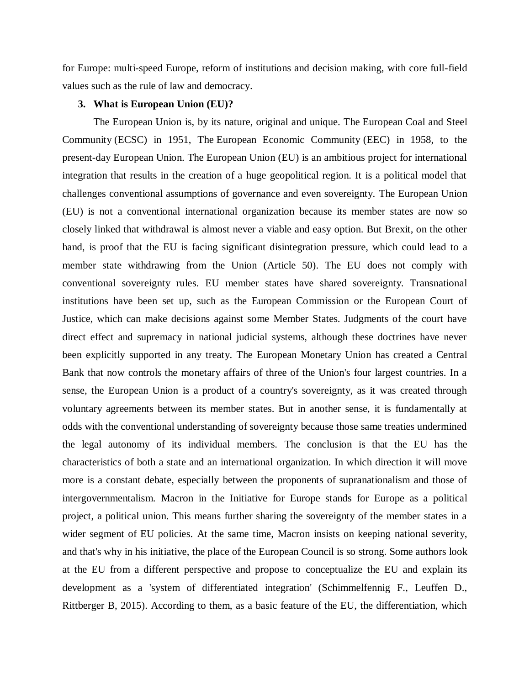for Europe: multi-speed Europe, reform of institutions and decision making, with core full-field values such as the rule of law and democracy.

## **3. What is European Union (EU)?**

The European Union is, by its nature, original and unique. The European Coal and Steel Community (ECSC) in 1951, The European Economic Community (EEC) in 1958, to the present-day European Union. The European Union (EU) is an ambitious project for international integration that results in the creation of a huge geopolitical region. It is a political model that challenges conventional assumptions of governance and even sovereignty. The European Union (EU) is not a conventional international organization because its member states are now so closely linked that withdrawal is almost never a viable and easy option. But Brexit, on the other hand, is proof that the EU is facing significant disintegration pressure, which could lead to a member state withdrawing from the Union (Article 50). The EU does not comply with conventional sovereignty rules. EU member states have shared sovereignty. Transnational institutions have been set up, such as the European Commission or the European Court of Justice, which can make decisions against some Member States. Judgments of the court have direct effect and supremacy in national judicial systems, although these doctrines have never been explicitly supported in any treaty. The European Monetary Union has created a Central Bank that now controls the monetary affairs of three of the Union's four largest countries. In a sense, the European Union is a product of a country's sovereignty, as it was created through voluntary agreements between its member states. But in another sense, it is fundamentally at odds with the conventional understanding of sovereignty because those same treaties undermined the legal autonomy of its individual members. The conclusion is that the EU has the characteristics of both a state and an international organization. In which direction it will move more is a constant debate, especially between the proponents of supranationalism and those of intergovernmentalism. Macron in the Initiative for Europe stands for Europe as a political project, a political union. This means further sharing the sovereignty of the member states in a wider segment of EU policies. At the same time, Macron insists on keeping national severity, and that's why in his initiative, the place of the European Council is so strong. Some authors look at the EU from a different perspective and propose to conceptualize the EU and explain its development as a 'system of differentiated integration' (Schimmelfennig F., Leuffen D., Rittberger B, 2015). According to them, as a basic feature of the EU, the differentiation, which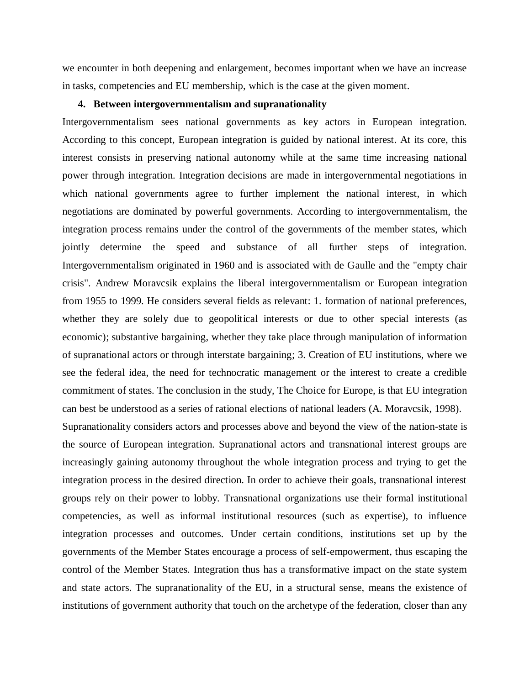we encounter in both deepening and enlargement, becomes important when we have an increase in tasks, competencies and EU membership, which is the case at the given moment.

## **4. Between intergovernmentalism and supranationality**

Intergovernmentalism sees national governments as key actors in European integration. According to this concept, European integration is guided by national interest. At its core, this interest consists in preserving national autonomy while at the same time increasing national power through integration. Integration decisions are made in intergovernmental negotiations in which national governments agree to further implement the national interest, in which negotiations are dominated by powerful governments. According to intergovernmentalism, the integration process remains under the control of the governments of the member states, which jointly determine the speed and substance of all further steps of integration. Intergovernmentalism originated in 1960 and is associated with de Gaulle and the "empty chair crisis". Andrew Moravcsik explains the liberal intergovernmentalism or European integration from 1955 to 1999. He considers several fields as relevant: 1. formation of national preferences, whether they are solely due to geopolitical interests or due to other special interests (as economic); substantive bargaining, whether they take place through manipulation of information of supranational actors or through interstate bargaining; 3. Creation of EU institutions, where we see the federal idea, the need for technocratic management or the interest to create a credible commitment of states. The conclusion in the study, The Choice for Europe, is that EU integration can best be understood as a series of rational elections of national leaders (A. Moravcsik, 1998). Supranationality considers actors and processes above and beyond the view of the nation-state is

the source of European integration. Supranational actors and transnational interest groups are increasingly gaining autonomy throughout the whole integration process and trying to get the integration process in the desired direction. In order to achieve their goals, transnational interest groups rely on their power to lobby. Transnational organizations use their formal institutional competencies, as well as informal institutional resources (such as expertise), to influence integration processes and outcomes. Under certain conditions, institutions set up by the governments of the Member States encourage a process of self-empowerment, thus escaping the control of the Member States. Integration thus has a transformative impact on the state system and state actors. The supranationality of the EU, in a structural sense, means the existence of institutions of government authority that touch on the archetype of the federation, closer than any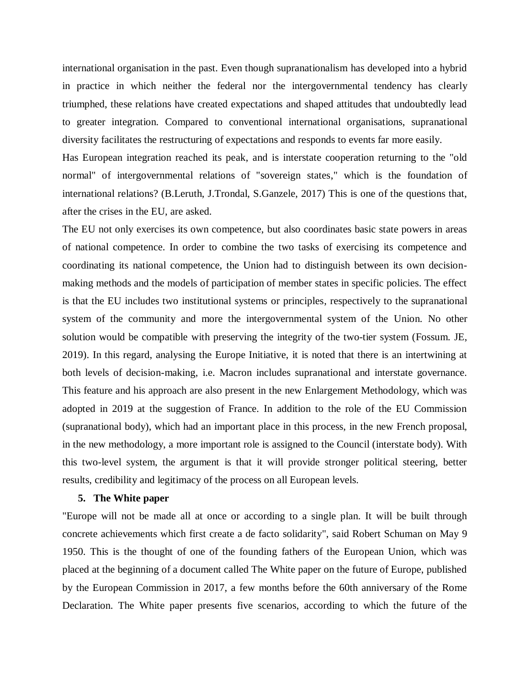international organisation in the past. Even though supranationalism has developed into a hybrid in practice in which neither the federal nor the intergovernmental tendency has clearly triumphed, these relations have created expectations and shaped attitudes that undoubtedly lead to greater integration. Compared to conventional international organisations, supranational diversity facilitates the restructuring of expectations and responds to events far more easily.

Has European integration reached its peak, and is interstate cooperation returning to the "old normal" of intergovernmental relations of "sovereign states," which is the foundation of international relations? (B.Leruth, J.Trondal, S.Ganzele, 2017) This is one of the questions that, after the crises in the EU, are asked.

The EU not only exercises its own competence, but also coordinates basic state powers in areas of national competence. In order to combine the two tasks of exercising its competence and coordinating its national competence, the Union had to distinguish between its own decisionmaking methods and the models of participation of member states in specific policies. The effect is that the EU includes two institutional systems or principles, respectively to the supranational system of the community and more the intergovernmental system of the Union. No other solution would be compatible with preserving the integrity of the two-tier system (Fossum. JE, 2019). In this regard, analysing the Europe Initiative, it is noted that there is an intertwining at both levels of decision-making, i.e. Macron includes supranational and interstate governance. This feature and his approach are also present in the new Enlargement Methodology, which was adopted in 2019 at the suggestion of France. In addition to the role of the EU Commission (supranational body), which had an important place in this process, in the new French proposal, in the new methodology, a more important role is assigned to the Council (interstate body). With this two-level system, the argument is that it will provide stronger political steering, better results, credibility and legitimacy of the process on all European levels.

#### **5. The White paper**

"Europe will not be made all at once or according to a single plan. It will be built through concrete achievements which first create a de facto solidarity", said Robert Schuman on May 9 1950. This is the thought of one of the founding fathers of the European Union, which was placed at the beginning of a document called The White paper on the future of Europe, published by the European Commission in 2017, a few months before the 60th anniversary of the Rome Declaration. The White paper presents five scenarios, according to which the future of the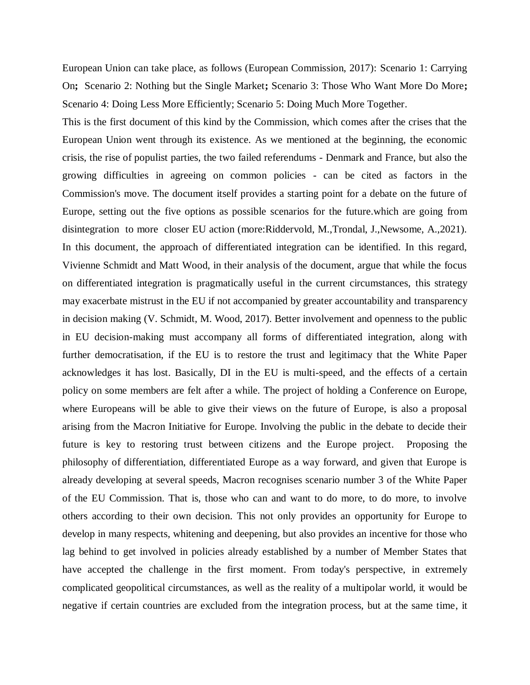European Union can take place, as follows (European Commission, 2017): Scenario 1: Carrying On**;** Scenario 2: Nothing but the Single Market**;** Scenario 3: Those Who Want More Do More**;** Scenario 4: Doing Less More Efficiently; Scenario 5: Doing Much More Together.

This is the first document of this kind by the Commission, which comes after the crises that the European Union went through its existence. As we mentioned at the beginning, the economic crisis, the rise of populist parties, the two failed referendums - Denmark and France, but also the growing difficulties in agreeing on common policies - can be cited as factors in the Commission's move. The document itself provides a starting point for a debate on the future of Europe, setting out the five options as possible scenarios for the future.which are going from disintegration to more closer EU action (more:Riddervold, M.,Trondal, J.,Newsome, A.,2021). In this document, the approach of differentiated integration can be identified. In this regard, Vivienne Schmidt and Matt Wood, in their analysis of the document, argue that while the focus on differentiated integration is pragmatically useful in the current circumstances, this strategy may exacerbate mistrust in the EU if not accompanied by greater accountability and transparency in decision making (V. Schmidt, M. Wood, 2017). Better involvement and openness to the public in EU decision-making must accompany all forms of differentiated integration, along with further democratisation, if the EU is to restore the trust and legitimacy that the White Paper acknowledges it has lost. Basically, DI in the EU is multi-speed, and the effects of a certain policy on some members are felt after a while. The project of holding a Conference on Europe, where Europeans will be able to give their views on the future of Europe, is also a proposal arising from the Macron Initiative for Europe. Involving the public in the debate to decide their future is key to restoring trust between citizens and the Europe project. Proposing the philosophy of differentiation, differentiated Europe as a way forward, and given that Europe is already developing at several speeds, Macron recognises scenario number 3 of the White Paper of the EU Commission. That is, those who can and want to do more, to do more, to involve others according to their own decision. This not only provides an opportunity for Europe to develop in many respects, whitening and deepening, but also provides an incentive for those who lag behind to get involved in policies already established by a number of Member States that have accepted the challenge in the first moment. From today's perspective, in extremely complicated geopolitical circumstances, as well as the reality of a multipolar world, it would be negative if certain countries are excluded from the integration process, but at the same time, it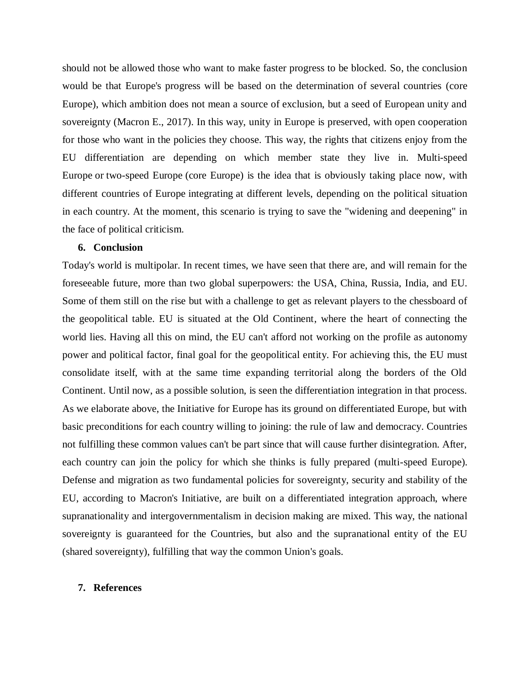should not be allowed those who want to make faster progress to be blocked. So, the conclusion would be that Europe's progress will be based on the determination of several countries (core Europe), which ambition does not mean a source of exclusion, but a seed of European unity and sovereignty (Macron E., 2017). In this way, unity in Europe is preserved, with open cooperation for those who want in the policies they choose. This way, the rights that citizens enjoy from the EU differentiation are depending on which member state they live in. Multi-speed Europe or two-speed Europe (core Europe) is the idea that is obviously taking place now, with different countries of Europe integrating at different levels, depending on the political situation in each country. At the moment, this scenario is trying to save the "widening and deepening" in the face of political criticism.

# **6. Conclusion**

Today's world is multipolar. In recent times, we have seen that there are, and will remain for the foreseeable future, more than two global superpowers: the USA, China, Russia, India, and EU. Some of them still on the rise but with a challenge to get as relevant players to the chessboard of the geopolitical table. EU is situated at the Old Continent, where the heart of connecting the world lies. Having all this on mind, the EU can't afford not working on the profile as autonomy power and political factor, final goal for the geopolitical entity. For achieving this, the EU must consolidate itself, with at the same time expanding territorial along the borders of the Old Continent. Until now, as a possible solution, is seen the differentiation integration in that process. As we elaborate above, the Initiative for Europe has its ground on differentiated Europe, but with basic preconditions for each country willing to joining: the rule of law and democracy. Countries not fulfilling these common values can't be part since that will cause further disintegration. After, each country can join the policy for which she thinks is fully prepared (multi-speed Europe). Defense and migration as two fundamental policies for sovereignty, security and stability of the EU, according to Macron's Initiative, are built on a differentiated integration approach, where supranationality and intergovernmentalism in decision making are mixed. This way, the national sovereignty is guaranteed for the Countries, but also and the supranational entity of the EU (shared sovereignty), fulfilling that way the common Union's goals.

## **7. References**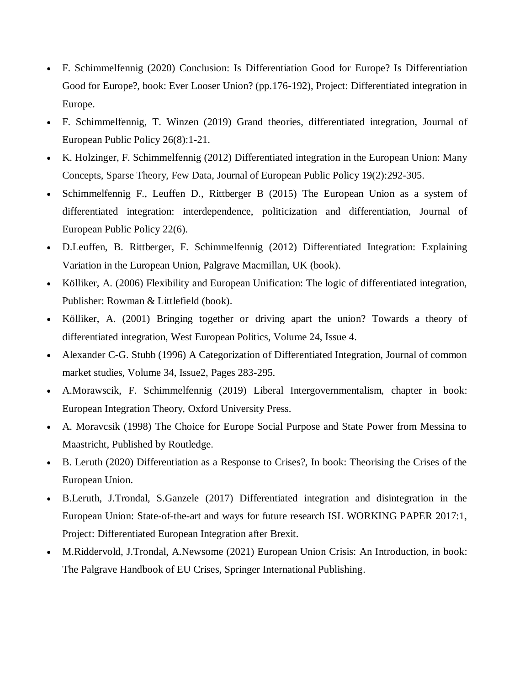- F. Schimmelfennig (2020) Conclusion: Is Differentiation Good for Europe? Is Differentiation Good for Europe?, book: Ever Looser Union? (pp.176-192), Project: Differentiated integration in Europe.
- F. Schimmelfennig, T. Winzen (2019) Grand theories, differentiated integration, Journal of European Public Policy 26(8):1-21.
- K. Holzinger, F. Schimmelfennig (2012) Differentiated integration in the European Union: Many Concepts, Sparse Theory, Few Data, Journal of European Public Policy 19(2):292-305.
- Schimmelfennig F., Leuffen D., Rittberger B (2015) The European Union as a system of differentiated integration: interdependence, politicization and differentiation, Journal of European Public Policy 22(6).
- D.Leuffen, B. Rittberger, F. Schimmelfennig (2012) Differentiated Integration: Explaining Variation in the European Union, Palgrave Macmillan, UK (book).
- Kölliker, A. (2006) Flexibility and European Unification: The logic of differentiated integration, Publisher: Rowman & Littlefield (book).
- Kölliker, A. (2001) Bringing together or driving apart the union? Towards a theory of differentiated integration, West European Politics, Volume 24, Issue 4.
- Alexander C-G. Stubb (1996) A Categorization of Differentiated Integration, Journal of common market studies, Volume 34, Issue2, Pages 283-295.
- A.Morawscik, F. Schimmelfennig (2019) Liberal Intergovernmentalism, chapter in book: European Integration Theory, Oxford University Press.
- A. Moravcsik (1998) The Choice for Europe Social Purpose and State Power from Messina to Maastricht, Published by Routledge.
- B. Leruth (2020) Differentiation as a Response to Crises?, In book: Theorising the Crises of the European Union.
- B.Leruth, J.Trondal, S.Ganzele (2017) Differentiated integration and disintegration in the European Union: State-of-the-art and ways for future research ISL WORKING PAPER 2017:1, Project: [Differentiated](https://www.researchgate.net/project/Differentiated-European-Integration-after-Brexit) European Integration after Brexit.
- M.Riddervold, J.Trondal, A.Newsome (2021) European Union Crisis: An Introduction, in book: The Palgrave Handbook of EU Crises, Springer International Publishing.